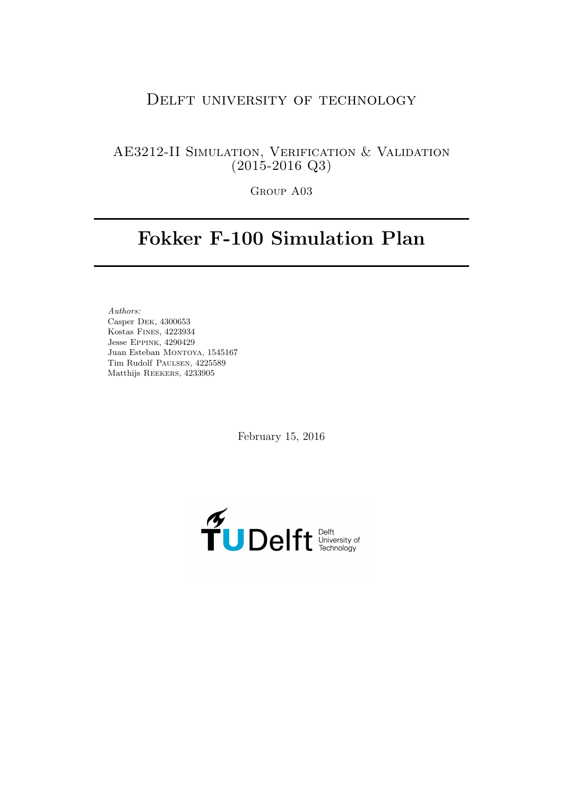# DELFT UNIVERSITY OF TECHNOLOGY

# AE3212-II Simulation, Verification & Validation (2015-2016 Q3)

Group A03

# Fokker F-100 Simulation Plan

Authors: Casper Dek, 4300653 Kostas Fines, 4223934 Jesse Eppink, 4290429 Juan Esteban Montoya, 1545167 Tim Rudolf Paulsen, 4225589 Matthijs Reekers, 4233905

February 15, 2016

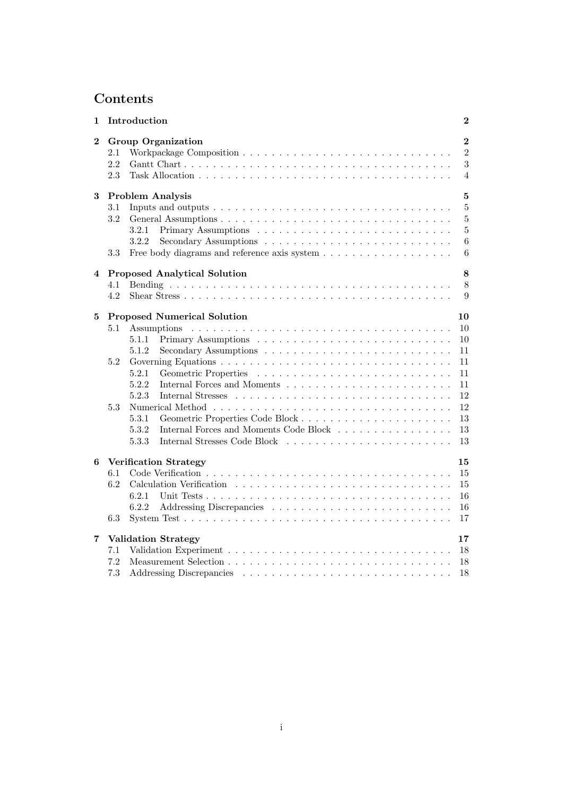# Contents

| 1              |                   | Introduction                                    | $\boldsymbol{2}$                                        |
|----------------|-------------------|-------------------------------------------------|---------------------------------------------------------|
| $\overline{2}$ | 2.1<br>2.2<br>2.3 | <b>Group Organization</b>                       | $\overline{2}$<br>$\overline{2}$<br>3<br>$\overline{4}$ |
| 3              |                   | <b>Problem Analysis</b>                         | $\overline{5}$                                          |
|                | 3.1               |                                                 | $\overline{5}$                                          |
|                | 3.2               |                                                 | 5                                                       |
|                |                   | 3.2.1                                           | $\overline{5}$                                          |
|                |                   | 3.2.2                                           | 6                                                       |
|                | 3.3               |                                                 | 6                                                       |
| 4              |                   | <b>Proposed Analytical Solution</b>             | 8                                                       |
|                | 4.1               |                                                 | 8                                                       |
|                | 4.2               |                                                 | 9                                                       |
| $\bf{5}$       |                   | <b>Proposed Numerical Solution</b>              | 10                                                      |
|                | 5.1               |                                                 | 10                                                      |
|                |                   | 5.1.1                                           | 10                                                      |
|                |                   | 5.1.2                                           | 11                                                      |
|                | 5.2               |                                                 | 11                                                      |
|                |                   | 5.2.1                                           | 11                                                      |
|                |                   | 5.2.2                                           | 11                                                      |
|                |                   | 5.2.3                                           | 12                                                      |
|                | 5.3               |                                                 | 12                                                      |
|                |                   | 5.3.1                                           | 13                                                      |
|                |                   | Internal Forces and Moments Code Block<br>5.3.2 | 13                                                      |
|                |                   | 5.3.3                                           | 13                                                      |
| 6              |                   | <b>Verification Strategy</b>                    | 15                                                      |
|                | 6.1               |                                                 | 15                                                      |
|                | 6.2               |                                                 | 15                                                      |
|                |                   | 6.2.1                                           | 16                                                      |
|                |                   | 6.2.2                                           | 16                                                      |
|                | 6.3               |                                                 | 17                                                      |
| 7              |                   | <b>Validation Strategy</b>                      | 17                                                      |
|                | 7.1               |                                                 | 18                                                      |
|                | 7.2               |                                                 | 18                                                      |
|                | 7.3               |                                                 | 18                                                      |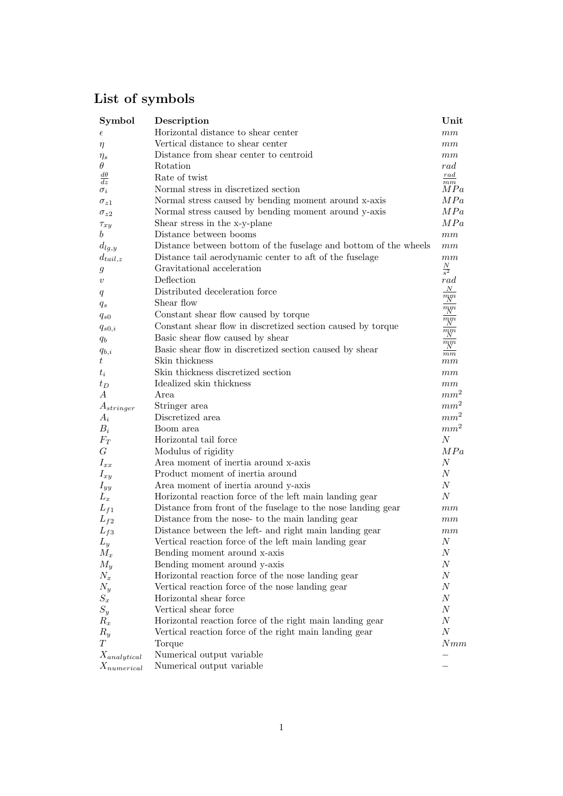# List of symbols

| Symbol                       | Description                                                      | Unit                                    |
|------------------------------|------------------------------------------------------------------|-----------------------------------------|
| $\epsilon$                   | Horizontal distance to shear center                              | mm                                      |
| $\eta$                       | Vertical distance to shear center                                | mm                                      |
| $\eta_s$                     | Distance from shear center to centroid                           | mm                                      |
| $\theta$                     | Rotation                                                         | rad                                     |
| $d\theta$<br>$\overline{dz}$ | Rate of twist                                                    | $_{rad}$                                |
| $\sigma_i$                   | Normal stress in discretized section                             | $\frac{\overline{mm}}{MPa}$             |
| $\sigma_{z1}$                | Normal stress caused by bending moment around x-axis             | MPa                                     |
| $\sigma_{z2}$                | Normal stress caused by bending moment around y-axis             | MPa                                     |
| $\tau_{xy}$                  | Shear stress in the x-y-plane                                    | MPa                                     |
| b                            | Distance between booms                                           | mm                                      |
| $d_{lg,y}$                   | Distance between bottom of the fuselage and bottom of the wheels | mm                                      |
| $d_{tail,z}$                 | Distance tail aerodynamic center to aft of the fuselage          | mm                                      |
| $\mathfrak g$                | Gravitational acceleration                                       | $\frac{N}{s^2}$                         |
| $\boldsymbol{v}$             | Deflection                                                       | rad                                     |
| q                            | Distributed deceleration force                                   | $\overline{N}$                          |
| $q_s$                        | Shear flow                                                       | $\overline{m}$                          |
| $q_{s0}$                     | Constant shear flow caused by torque                             | $\frac{\frac{N}{m m}}{\frac{N m}{m m}}$ |
| $q_{s0,i}$                   | Constant shear flow in discretized section caused by torque      |                                         |
| $q_b$                        | Basic shear flow caused by shear                                 |                                         |
| $q_{b,i}$                    | Basic shear flow in discretized section caused by shear          | $\sqrt{m}$                              |
| $t\,$                        | Skin thickness                                                   | m <sub>m</sub><br>$_{mm}$               |
| $t_i$                        | Skin thickness discretized section                               | $\,mm$                                  |
| $t_D$                        | Idealized skin thickness                                         | mm                                      |
| $\overline{A}$               | Area                                                             | mm <sup>2</sup>                         |
| $A_{stringer}$               | Stringer area                                                    | mm <sup>2</sup>                         |
| $A_i$                        | Discretized area                                                 | mm <sup>2</sup>                         |
| $B_i$                        | Boom area                                                        | mm <sup>2</sup>                         |
| $F_T$                        | Horizontal tail force                                            | $\boldsymbol{N}$                        |
| $\cal G$                     | Modulus of rigidity                                              | MPa                                     |
| $I_{xx}$                     | Area moment of inertia around x-axis                             | N                                       |
| $I_{xy}$                     | Product moment of inertia around                                 | N                                       |
| $I_{yy}$                     | Area moment of inertia around y-axis                             | N                                       |
| $L_x$                        | Horizontal reaction force of the left main landing gear          | N                                       |
| $L_{f1}$                     | Distance from front of the fuselage to the nose landing gear     | $\,mm$                                  |
| $L_{f2}$                     | Distance from the nose- to the main landing gear                 | mm                                      |
| $L_{f3}$                     | Distance between the left- and right main landing gear           | mm                                      |
| $L_y$                        | Vertical reaction force of the left main landing gear            | $\boldsymbol{N}$                        |
| $M_x$                        | Bending moment around x-axis                                     | $\,N$                                   |
| $M_y$                        | Bending moment around y-axis                                     | N                                       |
| $N_x$                        | Horizontal reaction force of the nose landing gear               | N                                       |
| $N_y$                        | Vertical reaction force of the nose landing gear                 | $N_{\rm}$                               |
| $\mathcal{S}_x$              | Horizontal shear force                                           | $N_{\rm}$                               |
| $S_y$                        | Vertical shear force                                             | $N_{\rm}$                               |
| $R_x$                        | Horizontal reaction force of the right main landing gear         | $N_{\rm}$                               |
| $R_y$                        | Vertical reaction force of the right main landing gear           | $\boldsymbol{N}$                        |
| T                            | Torque                                                           | Nmm                                     |
| $X_{analytical}$             | Numerical output variable                                        |                                         |
| $X_{numerical}$              | Numerical output variable                                        |                                         |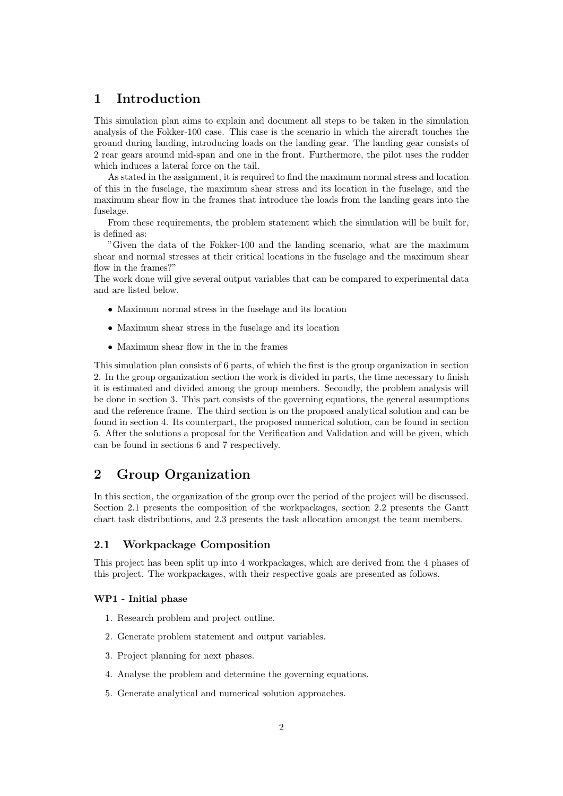# 1 Introduction

This simulation plan aims to explain and document all steps to be taken in the simulation analysis of the Fokker-100 case. This case is the scenario in which the aircraft touches the ground during landing, introducing loads on the landing gear. The landing gear consists of 2 rear gears around mid-span and one in the front. Furthermore, the pilot uses the rudder which induces a lateral force on the tail.

As stated in the assignment, it is required to find the maximum normal stress and location of this in the fuselage, the maximum shear stress and its location in the fuselage, and the maximum shear flow in the frames that introduce the loads from the landing gears into the fuselage.

From these requirements, the problem statement which the simulation will be built for, is defined as:

"Given the data of the Fokker-100 and the landing scenario, what are the maximum shear and normal stresses at their critical locations in the fuselage and the maximum shear flow in the frames?"

The work done will give several output variables that can be compared to experimental data and are listed below.

- Maximum normal stress in the fuselage and its location
- Maximum shear stress in the fuselage and its location
- Maximum shear flow in the in the frames

This simulation plan consists of 6 parts, of which the first is the group organization in section 2. In the group organization section the work is divided in parts, the time necessary to finish it is estimated and divided among the group members. Secondly, the problem analysis will be done in section 3. This part consists of the governing equations, the general assumptions and the reference frame. The third section is on the proposed analytical solution and can be found in section 4. Its counterpart, the proposed numerical solution, can be found in section 5. After the solutions a proposal for the Verification and Validation and will be given, which can be found in sections 6 and 7 respectively.

# 2 Group Organization

In this section, the organization of the group over the period of the project will be discussed. Section 2.1 presents the composition of the workpackages, section 2.2 presents the Gantt chart task distributions, and 2.3 presents the task allocation amongst the team members.

### 2.1 Workpackage Composition

This project has been split up into 4 workpackages, which are derived from the 4 phases of this project. The workpackages, with their respective goals are presented as follows.

#### WP1 - Initial phase

- 1. Research problem and project outline.
- 2. Generate problem statement and output variables.
- 3. Project planning for next phases.
- 4. Analyse the problem and determine the governing equations.
- 5. Generate analytical and numerical solution approaches.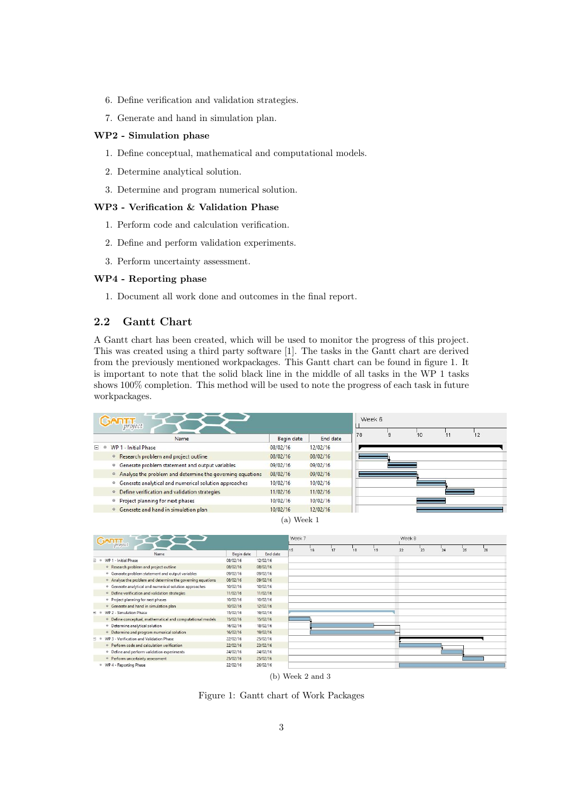- 6. Define verification and validation strategies.
- 7. Generate and hand in simulation plan.

#### WP2 - Simulation phase

- 1. Define conceptual, mathematical and computational models.
- 2. Determine analytical solution.
- 3. Determine and program numerical solution.

#### WP3 - Verification & Validation Phase

- 1. Perform code and calculation verification.
- 2. Define and perform validation experiments.
- 3. Perform uncertainty assessment.

#### WP4 - Reporting phase

1. Document all work done and outcomes in the final report.

### 2.2 Gantt Chart

A Gantt chart has been created, which will be used to monitor the progress of this project. This was created using a third party software [1]. The tasks in the Gantt chart are derived from the previously mentioned workpackages. This Gantt chart can be found in figure 1. It is important to note that the solid black line in the middle of all tasks in the WP 1 tasks shows 100% completion. This method will be used to note the progress of each task in future workpackages.





Figure 1: Gantt chart of Work Packages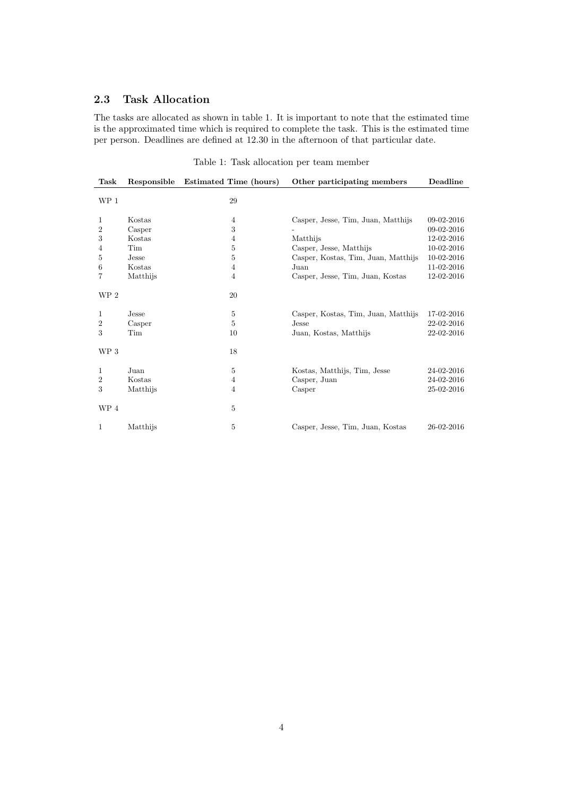## 2.3 Task Allocation

The tasks are allocated as shown in table 1. It is important to note that the estimated time is the approximated time which is required to complete the task. This is the estimated time per person. Deadlines are defined at 12.30 in the afternoon of that particular date.

| Task            | Responsible | Estimated Time (hours) | Other participating members         | Deadline     |
|-----------------|-------------|------------------------|-------------------------------------|--------------|
| WP 1            |             | 29                     |                                     |              |
| 1               | Kostas      | $\overline{4}$         | Casper, Jesse, Tim, Juan, Matthijs  | 09-02-2016   |
| $\overline{2}$  | Casper      | 3                      |                                     | 09-02-2016   |
| 3               | Kostas      | $\overline{4}$         | Matthijs                            | 12-02-2016   |
| 4               | Tim         | $\bf 5$                | Casper, Jesse, Matthijs             | $10-02-2016$ |
| 5               | Jesse       | 5                      | Casper, Kostas, Tim, Juan, Matthijs | 10-02-2016   |
| 6               | Kostas      | $\overline{4}$         | Juan                                | 11-02-2016   |
| 7               | Matthijs    | 4                      | Casper, Jesse, Tim, Juan, Kostas    | 12-02-2016   |
| WP <sub>2</sub> |             | 20                     |                                     |              |
| 1               | Jesse       | 5                      | Casper, Kostas, Tim, Juan, Matthijs | 17-02-2016   |
| 2               | Casper      | $\overline{5}$         | Jesse                               | 22-02-2016   |
| 3               | Tim         | 10                     | Juan, Kostas, Matthijs              | 22-02-2016   |
| WP 3            |             | 18                     |                                     |              |
| 1               | Juan        | 5                      | Kostas, Matthijs, Tim, Jesse        | 24-02-2016   |
| $\overline{2}$  | Kostas      | $\overline{4}$         | Casper, Juan                        | 24-02-2016   |
| 3               | Matthijs    | 4                      | Casper                              | 25-02-2016   |
| WP 4            |             | $\overline{5}$         |                                     |              |
| 1               | Matthijs    | 5                      | Casper, Jesse, Tim, Juan, Kostas    | 26-02-2016   |

Table 1: Task allocation per team member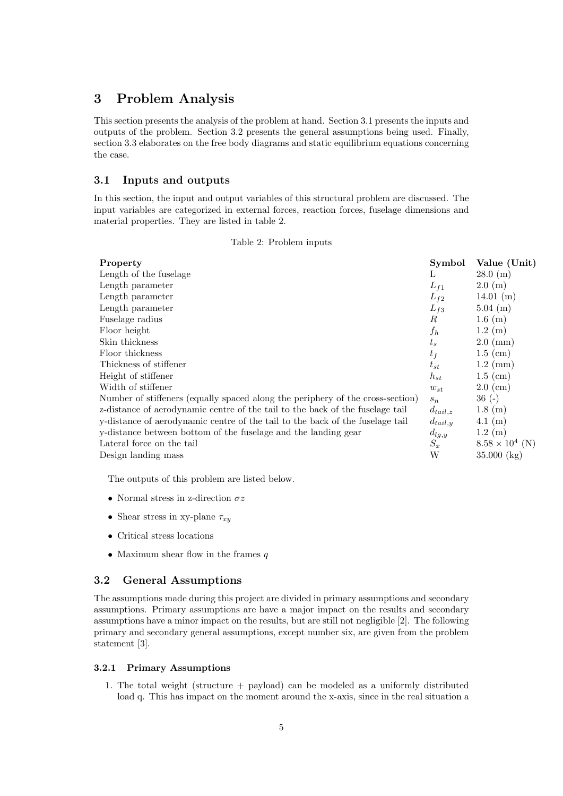# 3 Problem Analysis

This section presents the analysis of the problem at hand. Section 3.1 presents the inputs and outputs of the problem. Section 3.2 presents the general assumptions being used. Finally, section 3.3 elaborates on the free body diagrams and static equilibrium equations concerning the case.

## 3.1 Inputs and outputs

In this section, the input and output variables of this structural problem are discussed. The input variables are categorized in external forces, reaction forces, fuselage dimensions and material properties. They are listed in table 2.

|  | Table 2: Problem inputs |  |
|--|-------------------------|--|
|--|-------------------------|--|

| Property                                                                       | Symbol       | Value (Unit)           |
|--------------------------------------------------------------------------------|--------------|------------------------|
| Length of the fuselage                                                         | L            | $28.0 \; (m)$          |
| Length parameter                                                               | $L_{f1}$     | $2.0 \; (m)$           |
| Length parameter                                                               | $L_{f2}$     | $14.01 \; (m)$         |
| Length parameter                                                               | $L_{f3}$     | $5.04 \; (m)$          |
| Fuselage radius                                                                | R            | $1.6 \; (m)$           |
| Floor height                                                                   | $f_h$        | $1.2 \; (m)$           |
| Skin thickness                                                                 | $t_{s}$      | $2.0 \; \mathrm{(mm)}$ |
| Floor thickness                                                                | $t_f$        | $1.5$ (cm)             |
| Thickness of stiffener                                                         | $t_{st}$     | $1.2 \; \mathrm{(mm)}$ |
| Height of stiffener                                                            | $h_{st}$     | $1.5$ (cm)             |
| Width of stiffener                                                             | $w_{st}$     | $2.0 \text{ (cm)}$     |
| Number of stiffeners (equally spaced along the periphery of the cross-section) | $s_n$        | $36(-)$                |
| z-distance of aerodynamic centre of the tail to the back of the fuselage tail  | $d_{tail,z}$ | $1.8 \; (m)$           |
| y-distance of aerodynamic centre of the tail to the back of the fuselage tail  | $d_{tail,y}$ | $4.1 \; (m)$           |
| y-distance between bottom of the fuselage and the landing gear                 | $d_{lg,y}$   | $1.2 \; (m)$           |
| Lateral force on the tail                                                      | $S_x$        | $8.58 \times 10^4$ (N) |
| Design landing mass                                                            | W            | $35.000$ (kg)          |

The outputs of this problem are listed below.

- $\bullet\,$  Normal stress in z-direction  $\sigma z$
- Shear stress in xy-plane  $\tau_{xy}$
- Critical stress locations
- Maximum shear flow in the frames  $q$

#### 3.2 General Assumptions

The assumptions made during this project are divided in primary assumptions and secondary assumptions. Primary assumptions are have a major impact on the results and secondary assumptions have a minor impact on the results, but are still not negligible [2]. The following primary and secondary general assumptions, except number six, are given from the problem statement [3].

#### 3.2.1 Primary Assumptions

1. The total weight (structure + payload) can be modeled as a uniformly distributed load q. This has impact on the moment around the x-axis, since in the real situation a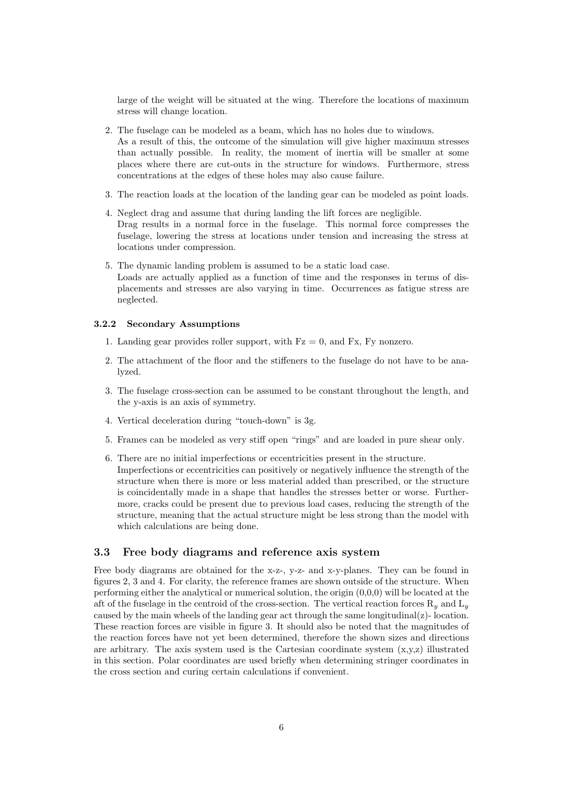large of the weight will be situated at the wing. Therefore the locations of maximum stress will change location.

- 2. The fuselage can be modeled as a beam, which has no holes due to windows. As a result of this, the outcome of the simulation will give higher maximum stresses than actually possible. In reality, the moment of inertia will be smaller at some places where there are cut-outs in the structure for windows. Furthermore, stress concentrations at the edges of these holes may also cause failure.
- 3. The reaction loads at the location of the landing gear can be modeled as point loads.
- 4. Neglect drag and assume that during landing the lift forces are negligible. Drag results in a normal force in the fuselage. This normal force compresses the fuselage, lowering the stress at locations under tension and increasing the stress at locations under compression.
- 5. The dynamic landing problem is assumed to be a static load case. Loads are actually applied as a function of time and the responses in terms of displacements and stresses are also varying in time. Occurrences as fatigue stress are neglected.

#### 3.2.2 Secondary Assumptions

- 1. Landing gear provides roller support, with  $Fz = 0$ , and  $Fx$ ,  $Fy$  nonzero.
- 2. The attachment of the floor and the stiffeners to the fuselage do not have to be analyzed.
- 3. The fuselage cross-section can be assumed to be constant throughout the length, and the y-axis is an axis of symmetry.
- 4. Vertical deceleration during "touch-down" is 3g.
- 5. Frames can be modeled as very stiff open "rings" and are loaded in pure shear only.
- 6. There are no initial imperfections or eccentricities present in the structure. Imperfections or eccentricities can positively or negatively influence the strength of the structure when there is more or less material added than prescribed, or the structure is coincidentally made in a shape that handles the stresses better or worse. Furthermore, cracks could be present due to previous load cases, reducing the strength of the structure, meaning that the actual structure might be less strong than the model with which calculations are being done.

### 3.3 Free body diagrams and reference axis system

Free body diagrams are obtained for the x-z-, y-z- and x-y-planes. They can be found in figures 2, 3 and 4. For clarity, the reference frames are shown outside of the structure. When performing either the analytical or numerical solution, the origin (0,0,0) will be located at the aft of the fuselage in the centroid of the cross-section. The vertical reaction forces  $R_y$  and  $L_y$ caused by the main wheels of the landing gear act through the same longitudinal( $z$ )-location. These reaction forces are visible in figure 3. It should also be noted that the magnitudes of the reaction forces have not yet been determined, therefore the shown sizes and directions are arbitrary. The axis system used is the Cartesian coordinate system  $(x,y,z)$  illustrated in this section. Polar coordinates are used briefly when determining stringer coordinates in the cross section and curing certain calculations if convenient.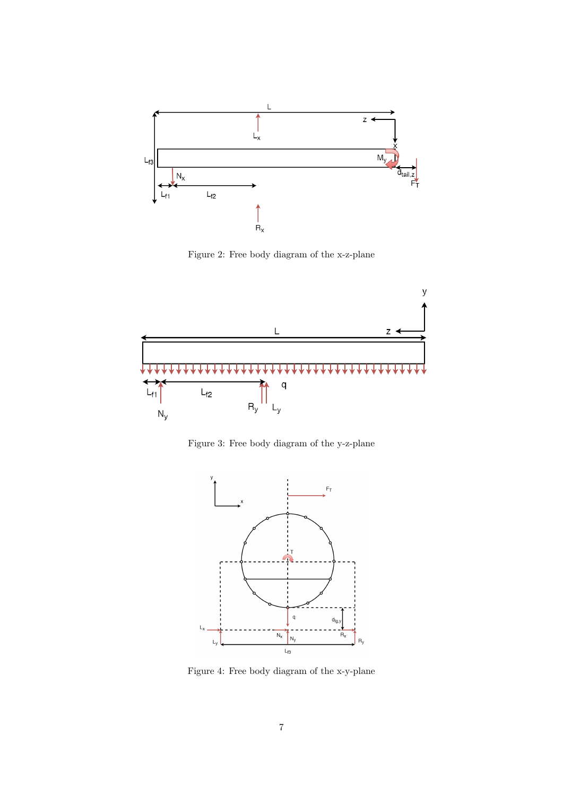

Figure 2: Free body diagram of the x-z-plane



Figure 3: Free body diagram of the y-z-plane



Figure 4: Free body diagram of the x-y-plane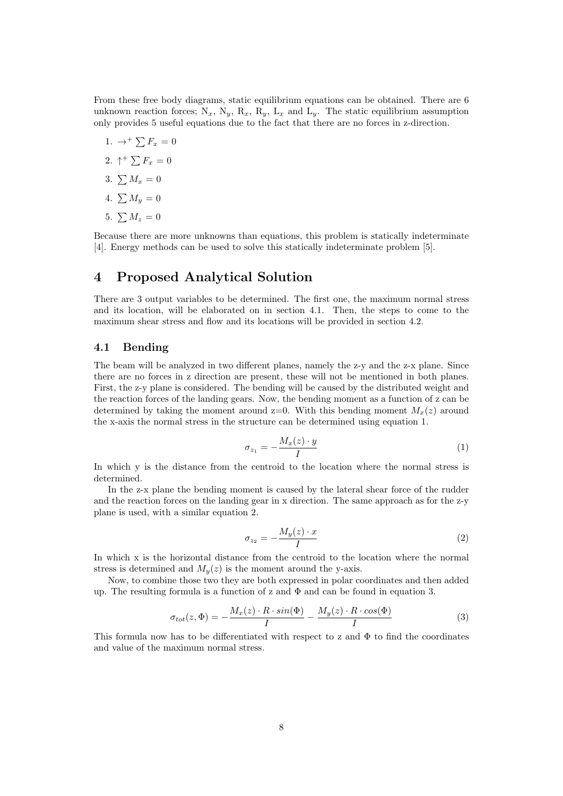From these free body diagrams, static equilibrium equations can be obtained. There are 6 unknown reaction forces; N<sub>x</sub>, N<sub>y</sub>, R<sub>x</sub>, R<sub>y</sub>, L<sub>x</sub> and L<sub>y</sub>. The static equilibrium assumption only provides 5 useful equations due to the fact that there are no forces in z-direction.

- 1.  $\rightarrow^+$   $\sum F_x = 0$
- 2.  $\uparrow^{+} \sum F_x = 0$
- 3.  $\sum M_x = 0$
- 4.  $\sum M_u = 0$
- 5.  $\sum M_z = 0$

Because there are more unknowns than equations, this problem is statically indeterminate [4]. Energy methods can be used to solve this statically indeterminate problem [5].

## 4 Proposed Analytical Solution

There are 3 output variables to be determined. The first one, the maximum normal stress and its location, will be elaborated on in section 4.1. Then, the steps to come to the maximum shear stress and flow and its locations will be provided in section 4.2.

### 4.1 Bending

The beam will be analyzed in two different planes, namely the z-y and the z-x plane. Since there are no forces in z direction are present, these will not be mentioned in both planes. First, the z-y plane is considered. The bending will be caused by the distributed weight and the reaction forces of the landing gears. Now, the bending moment as a function of z can be determined by taking the moment around  $z=0$ . With this bending moment  $M_{x}(z)$  around the x-axis the normal stress in the structure can be determined using equation 1.

$$
\sigma_{z_1} = -\frac{M_x(z) \cdot y}{I} \tag{1}
$$

In which y is the distance from the centroid to the location where the normal stress is determined.

In the z-x plane the bending moment is caused by the lateral shear force of the rudder and the reaction forces on the landing gear in x direction. The same approach as for the z-y plane is used, with a similar equation 2.

$$
\sigma_{z_2} = -\frac{M_y(z) \cdot x}{I} \tag{2}
$$

In which x is the horizontal distance from the centroid to the location where the normal stress is determined and  $M_y(z)$  is the moment around the y-axis.

Now, to combine those two they are both expressed in polar coordinates and then added up. The resulting formula is a function of z and  $\Phi$  and can be found in equation 3.

$$
\sigma_{tot}(z,\Phi) = -\frac{M_x(z) \cdot R \cdot \sin(\Phi)}{I} - \frac{M_y(z) \cdot R \cdot \cos(\Phi)}{I} \tag{3}
$$

This formula now has to be differentiated with respect to z and  $\Phi$  to find the coordinates and value of the maximum normal stress.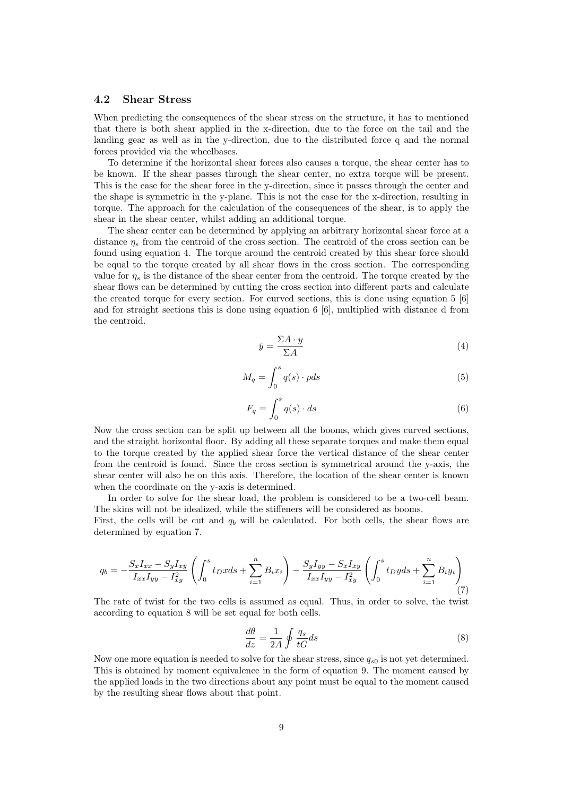### 4.2 Shear Stress

When predicting the consequences of the shear stress on the structure, it has to mentioned that there is both shear applied in the x-direction, due to the force on the tail and the landing gear as well as in the y-direction, due to the distributed force q and the normal forces provided via the wheelbases.

To determine if the horizontal shear forces also causes a torque, the shear center has to be known. If the shear passes through the shear center, no extra torque will be present. This is the case for the shear force in the y-direction, since it passes through the center and the shape is symmetric in the y-plane. This is not the case for the x-direction, resulting in torque. The approach for the calculation of the consequences of the shear, is to apply the shear in the shear center, whilst adding an additional torque.

The shear center can be determined by applying an arbitrary horizontal shear force at a distance  $\eta_s$  from the centroid of the cross section. The centroid of the cross section can be found using equation 4. The torque around the centroid created by this shear force should be equal to the torque created by all shear flows in the cross section. The corresponding value for  $\eta_s$  is the distance of the shear center from the centroid. The torque created by the shear flows can be determined by cutting the cross section into different parts and calculate the created torque for every section. For curved sections, this is done using equation 5 [6] and for straight sections this is done using equation 6 [6], multiplied with distance d from the centroid.

$$
\bar{y} = \frac{\Sigma A \cdot y}{\Sigma A} \tag{4}
$$

$$
M_q = \int_0^s q(s) \cdot p ds \tag{5}
$$

$$
F_q = \int_0^s q(s) \cdot ds \tag{6}
$$

Now the cross section can be split up between all the booms, which gives curved sections, and the straight horizontal floor. By adding all these separate torques and make them equal to the torque created by the applied shear force the vertical distance of the shear center from the centroid is found. Since the cross section is symmetrical around the y-axis, the shear center will also be on this axis. Therefore, the location of the shear center is known when the coordinate on the y-axis is determined.

In order to solve for the shear load, the problem is considered to be a two-cell beam. The skins will not be idealized, while the stiffeners will be considered as booms.

First, the cells will be cut and  $q_b$  will be calculated. For both cells, the shear flows are determined by equation 7.

$$
q_b = -\frac{S_x I_{xx} - S_y I_{xy}}{I_{xx} I_{yy} - I_{xy}^2} \left( \int_0^s t_D x ds + \sum_{i=1}^n B_i x_i \right) - \frac{S_y I_{yy} - S_x I_{xy}}{I_{xx} I_{yy} - I_{xy}^2} \left( \int_0^s t_D y ds + \sum_{i=1}^n B_i y_i \right) \tag{7}
$$

The rate of twist for the two cells is assumed as equal. Thus, in order to solve, the twist according to equation 8 will be set equal for both cells.

$$
\frac{d\theta}{dz} = \frac{1}{2A} \oint \frac{q_s}{tG} ds \tag{8}
$$

Now one more equation is needed to solve for the shear stress, since  $q_{s0}$  is not yet determined. This is obtained by moment equivalence in the form of equation 9. The moment caused by the applied loads in the two directions about any point must be equal to the moment caused by the resulting shear flows about that point.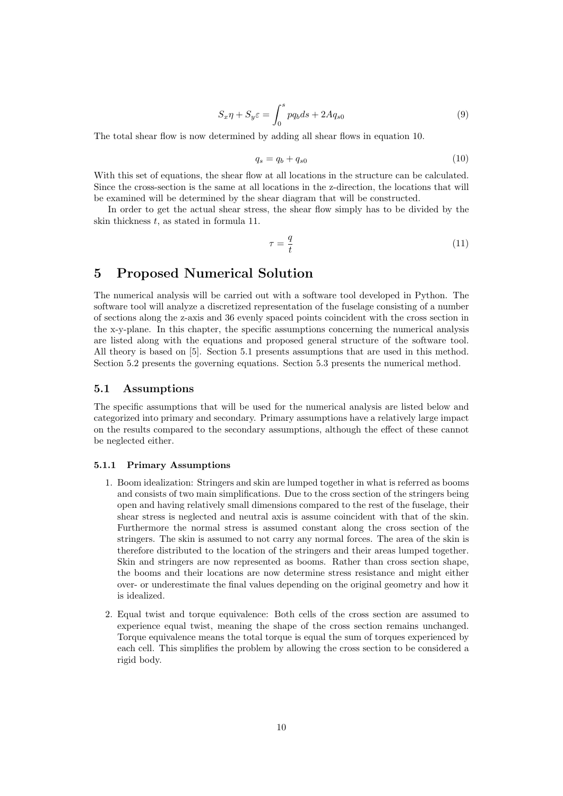$$
S_x \eta + S_y \varepsilon = \int_0^s p q_b ds + 2A q_{s0} \tag{9}
$$

The total shear flow is now determined by adding all shear flows in equation 10.

$$
q_s = q_b + q_{s0} \tag{10}
$$

With this set of equations, the shear flow at all locations in the structure can be calculated. Since the cross-section is the same at all locations in the z-direction, the locations that will be examined will be determined by the shear diagram that will be constructed.

In order to get the actual shear stress, the shear flow simply has to be divided by the skin thickness  $t$ , as stated in formula 11.

$$
\tau = \frac{q}{t} \tag{11}
$$

# 5 Proposed Numerical Solution

The numerical analysis will be carried out with a software tool developed in Python. The software tool will analyze a discretized representation of the fuselage consisting of a number of sections along the z-axis and 36 evenly spaced points coincident with the cross section in the x-y-plane. In this chapter, the specific assumptions concerning the numerical analysis are listed along with the equations and proposed general structure of the software tool. All theory is based on [5]. Section 5.1 presents assumptions that are used in this method. Section 5.2 presents the governing equations. Section 5.3 presents the numerical method.

#### 5.1 Assumptions

The specific assumptions that will be used for the numerical analysis are listed below and categorized into primary and secondary. Primary assumptions have a relatively large impact on the results compared to the secondary assumptions, although the effect of these cannot be neglected either.

#### 5.1.1 Primary Assumptions

- 1. Boom idealization: Stringers and skin are lumped together in what is referred as booms and consists of two main simplifications. Due to the cross section of the stringers being open and having relatively small dimensions compared to the rest of the fuselage, their shear stress is neglected and neutral axis is assume coincident with that of the skin. Furthermore the normal stress is assumed constant along the cross section of the stringers. The skin is assumed to not carry any normal forces. The area of the skin is therefore distributed to the location of the stringers and their areas lumped together. Skin and stringers are now represented as booms. Rather than cross section shape, the booms and their locations are now determine stress resistance and might either over- or underestimate the final values depending on the original geometry and how it is idealized.
- 2. Equal twist and torque equivalence: Both cells of the cross section are assumed to experience equal twist, meaning the shape of the cross section remains unchanged. Torque equivalence means the total torque is equal the sum of torques experienced by each cell. This simplifies the problem by allowing the cross section to be considered a rigid body.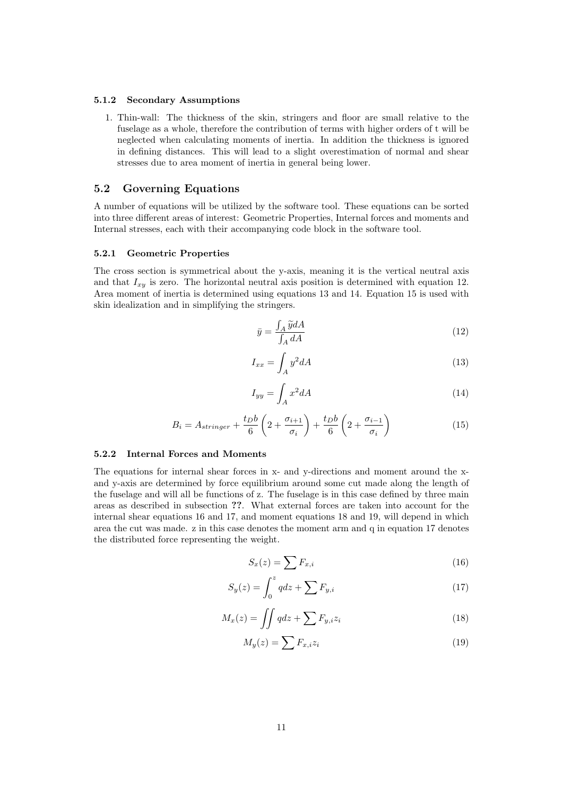#### 5.1.2 Secondary Assumptions

1. Thin-wall: The thickness of the skin, stringers and floor are small relative to the fuselage as a whole, therefore the contribution of terms with higher orders of t will be neglected when calculating moments of inertia. In addition the thickness is ignored in defining distances. This will lead to a slight overestimation of normal and shear stresses due to area moment of inertia in general being lower.

### 5.2 Governing Equations

A number of equations will be utilized by the software tool. These equations can be sorted into three different areas of interest: Geometric Properties, Internal forces and moments and Internal stresses, each with their accompanying code block in the software tool.

#### 5.2.1 Geometric Properties

The cross section is symmetrical about the y-axis, meaning it is the vertical neutral axis and that  $I_{xy}$  is zero. The horizontal neutral axis position is determined with equation 12. Area moment of inertia is determined using equations 13 and 14. Equation 15 is used with skin idealization and in simplifying the stringers.

$$
\bar{y} = \frac{\int_{A} \tilde{y} dA}{\int_{A} dA} \tag{12}
$$

$$
I_{xx} = \int_A y^2 dA \tag{13}
$$

$$
I_{yy} = \int_{A} x^2 dA \tag{14}
$$

$$
B_i = A_{stringer} + \frac{t_D b}{6} \left( 2 + \frac{\sigma_{i+1}}{\sigma_i} \right) + \frac{t_D b}{6} \left( 2 + \frac{\sigma_{i-1}}{\sigma_i} \right)
$$
 (15)

### 5.2.2 Internal Forces and Moments

The equations for internal shear forces in x- and y-directions and moment around the xand y-axis are determined by force equilibrium around some cut made along the length of the fuselage and will all be functions of z. The fuselage is in this case defined by three main areas as described in subsection ??. What external forces are taken into account for the internal shear equations 16 and 17, and moment equations 18 and 19, will depend in which area the cut was made. z in this case denotes the moment arm and q in equation 17 denotes the distributed force representing the weight.

$$
S_x(z) = \sum F_{x,i} \tag{16}
$$

$$
S_y(z) = \int_0^z q dz + \sum F_{y,i} \tag{17}
$$

$$
M_x(z) = \iint qdz + \sum F_{y,i} z_i \tag{18}
$$

$$
M_y(z) = \sum F_{x,i} z_i \tag{19}
$$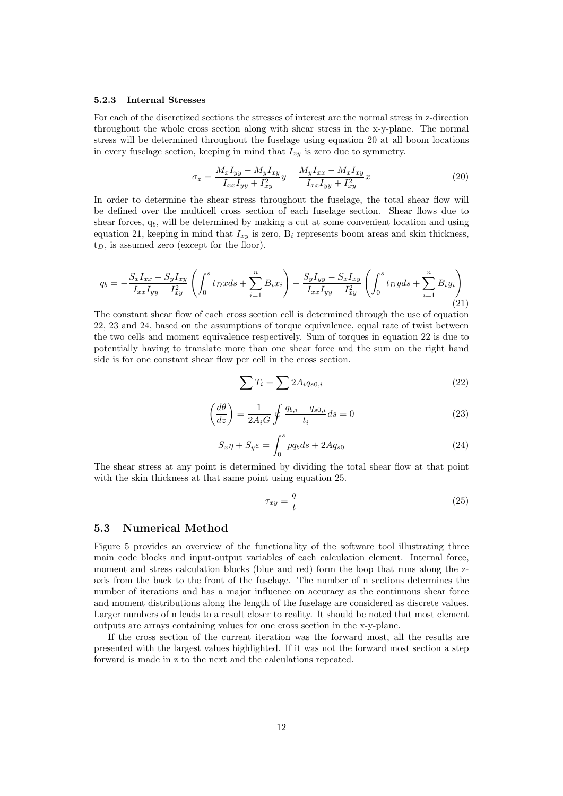#### 5.2.3 Internal Stresses

For each of the discretized sections the stresses of interest are the normal stress in z-direction throughout the whole cross section along with shear stress in the x-y-plane. The normal stress will be determined throughout the fuselage using equation 20 at all boom locations in every fuselage section, keeping in mind that  $I_{xy}$  is zero due to symmetry.

$$
\sigma_z = \frac{M_x I_{yy} - M_y I_{xy}}{I_{xx} I_{yy} + I_{xy}^2} y + \frac{M_y I_{xx} - M_x I_{xy}}{I_{xx} I_{yy} + I_{xy}^2} x \tag{20}
$$

In order to determine the shear stress throughout the fuselage, the total shear flow will be defined over the multicell cross section of each fuselage section. Shear flows due to shear forces,  $q_b$ , will be determined by making a cut at some convenient location and using equation 21, keeping in mind that  $I_{xy}$  is zero,  $B_i$  represents boom areas and skin thickness,  $t_D$ , is assumed zero (except for the floor).

$$
q_b = -\frac{S_x I_{xx} - S_y I_{xy}}{I_{xx} I_{yy} - I_{xy}^2} \left( \int_0^s t_D x ds + \sum_{i=1}^n B_i x_i \right) - \frac{S_y I_{yy} - S_x I_{xy}}{I_{xx} I_{yy} - I_{xy}^2} \left( \int_0^s t_D y ds + \sum_{i=1}^n B_i y_i \right)
$$
\n(21)

The constant shear flow of each cross section cell is determined through the use of equation 22, 23 and 24, based on the assumptions of torque equivalence, equal rate of twist between the two cells and moment equivalence respectively. Sum of torques in equation 22 is due to potentially having to translate more than one shear force and the sum on the right hand side is for one constant shear flow per cell in the cross section.

$$
\sum T_i = \sum 2A_i q_{s0,i} \tag{22}
$$

$$
\left(\frac{d\theta}{dz}\right) = \frac{1}{2A_iG} \oint \frac{q_{b,i} + q_{s0,i}}{t_i} ds = 0
$$
\n(23)

$$
S_x \eta + S_y \varepsilon = \int_0^s p q_b ds + 2A q_{s0} \tag{24}
$$

The shear stress at any point is determined by dividing the total shear flow at that point with the skin thickness at that same point using equation 25.

$$
\tau_{xy} = \frac{q}{t} \tag{25}
$$

#### 5.3 Numerical Method

Figure 5 provides an overview of the functionality of the software tool illustrating three main code blocks and input-output variables of each calculation element. Internal force, moment and stress calculation blocks (blue and red) form the loop that runs along the zaxis from the back to the front of the fuselage. The number of n sections determines the number of iterations and has a major influence on accuracy as the continuous shear force and moment distributions along the length of the fuselage are considered as discrete values. Larger numbers of n leads to a result closer to reality. It should be noted that most element outputs are arrays containing values for one cross section in the x-y-plane.

If the cross section of the current iteration was the forward most, all the results are presented with the largest values highlighted. If it was not the forward most section a step forward is made in z to the next and the calculations repeated.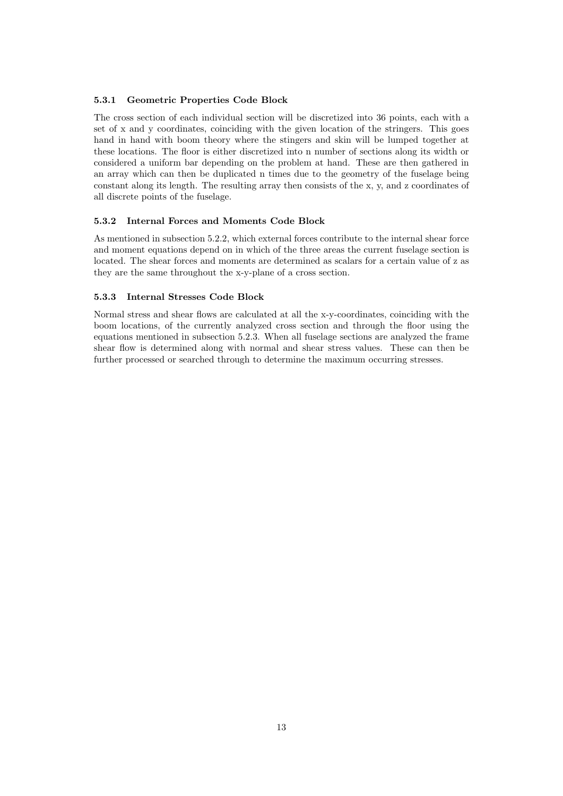#### 5.3.1 Geometric Properties Code Block

The cross section of each individual section will be discretized into 36 points, each with a set of x and y coordinates, coinciding with the given location of the stringers. This goes hand in hand with boom theory where the stingers and skin will be lumped together at these locations. The floor is either discretized into n number of sections along its width or considered a uniform bar depending on the problem at hand. These are then gathered in an array which can then be duplicated n times due to the geometry of the fuselage being constant along its length. The resulting array then consists of the x, y, and z coordinates of all discrete points of the fuselage.

#### 5.3.2 Internal Forces and Moments Code Block

As mentioned in subsection 5.2.2, which external forces contribute to the internal shear force and moment equations depend on in which of the three areas the current fuselage section is located. The shear forces and moments are determined as scalars for a certain value of z as they are the same throughout the x-y-plane of a cross section.

#### 5.3.3 Internal Stresses Code Block

Normal stress and shear flows are calculated at all the x-y-coordinates, coinciding with the boom locations, of the currently analyzed cross section and through the floor using the equations mentioned in subsection 5.2.3. When all fuselage sections are analyzed the frame shear flow is determined along with normal and shear stress values. These can then be further processed or searched through to determine the maximum occurring stresses.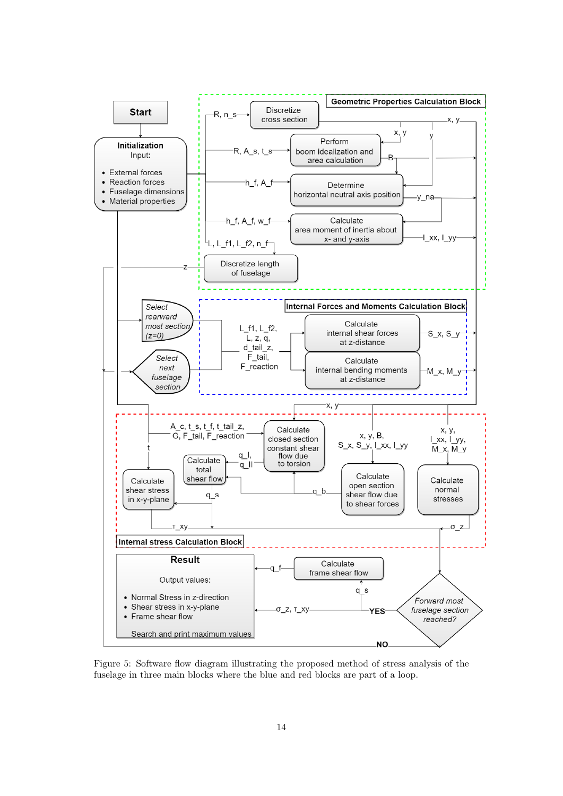

Figure 5: Software flow diagram illustrating the proposed method of stress analysis of the fuselage in three main blocks where the blue and red blocks are part of a loop.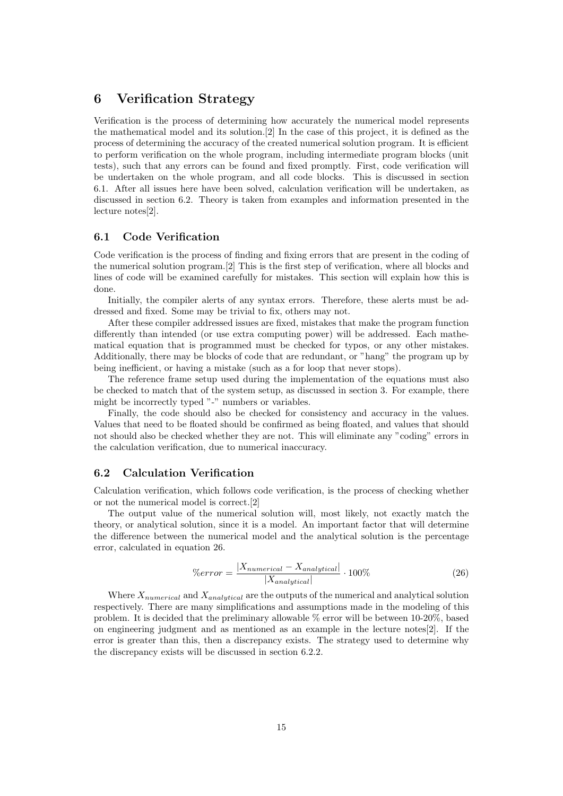# 6 Verification Strategy

Verification is the process of determining how accurately the numerical model represents the mathematical model and its solution.[2] In the case of this project, it is defined as the process of determining the accuracy of the created numerical solution program. It is efficient to perform verification on the whole program, including intermediate program blocks (unit tests), such that any errors can be found and fixed promptly. First, code verification will be undertaken on the whole program, and all code blocks. This is discussed in section 6.1. After all issues here have been solved, calculation verification will be undertaken, as discussed in section 6.2. Theory is taken from examples and information presented in the lecture notes[2].

## 6.1 Code Verification

Code verification is the process of finding and fixing errors that are present in the coding of the numerical solution program.[2] This is the first step of verification, where all blocks and lines of code will be examined carefully for mistakes. This section will explain how this is done.

Initially, the compiler alerts of any syntax errors. Therefore, these alerts must be addressed and fixed. Some may be trivial to fix, others may not.

After these compiler addressed issues are fixed, mistakes that make the program function differently than intended (or use extra computing power) will be addressed. Each mathematical equation that is programmed must be checked for typos, or any other mistakes. Additionally, there may be blocks of code that are redundant, or "hang" the program up by being inefficient, or having a mistake (such as a for loop that never stops).

The reference frame setup used during the implementation of the equations must also be checked to match that of the system setup, as discussed in section 3. For example, there might be incorrectly typed "-" numbers or variables.

Finally, the code should also be checked for consistency and accuracy in the values. Values that need to be floated should be confirmed as being floated, and values that should not should also be checked whether they are not. This will eliminate any "coding" errors in the calculation verification, due to numerical inaccuracy.

### 6.2 Calculation Verification

Calculation verification, which follows code verification, is the process of checking whether or not the numerical model is correct.[2]

The output value of the numerical solution will, most likely, not exactly match the theory, or analytical solution, since it is a model. An important factor that will determine the difference between the numerical model and the analytical solution is the percentage error, calculated in equation 26.

$$
\%error = \frac{|X_{numerical} - X_{analytical}|}{|X_{analytical}|} \cdot 100\%
$$
\n(26)

Where  $X_{numerical}$  and  $X_{analytical}$  are the outputs of the numerical and analytical solution respectively. There are many simplifications and assumptions made in the modeling of this problem. It is decided that the preliminary allowable % error will be between 10-20%, based on engineering judgment and as mentioned as an example in the lecture notes[2]. If the error is greater than this, then a discrepancy exists. The strategy used to determine why the discrepancy exists will be discussed in section 6.2.2.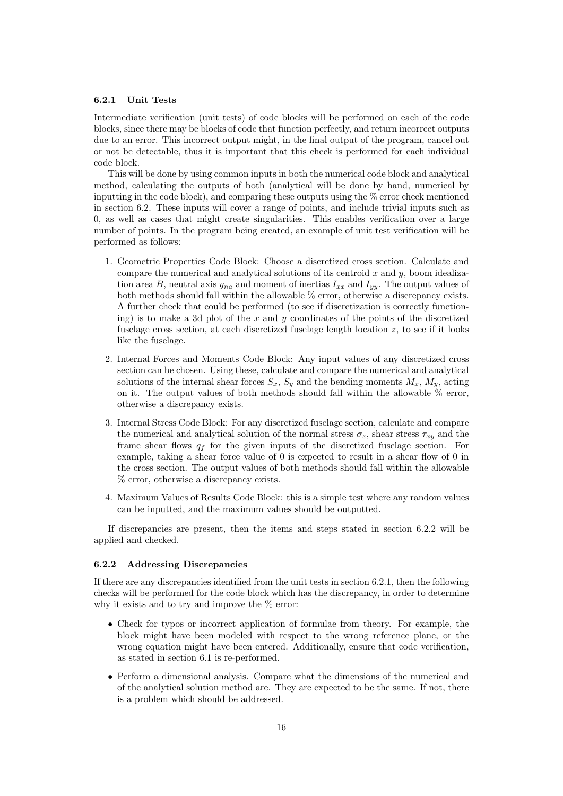#### 6.2.1 Unit Tests

Intermediate verification (unit tests) of code blocks will be performed on each of the code blocks, since there may be blocks of code that function perfectly, and return incorrect outputs due to an error. This incorrect output might, in the final output of the program, cancel out or not be detectable, thus it is important that this check is performed for each individual code block.

This will be done by using common inputs in both the numerical code block and analytical method, calculating the outputs of both (analytical will be done by hand, numerical by inputting in the code block), and comparing these outputs using the % error check mentioned in section 6.2. These inputs will cover a range of points, and include trivial inputs such as 0, as well as cases that might create singularities. This enables verification over a large number of points. In the program being created, an example of unit test verification will be performed as follows:

- 1. Geometric Properties Code Block: Choose a discretized cross section. Calculate and compare the numerical and analytical solutions of its centroid  $x$  and  $y$ , boom idealization area B, neutral axis  $y_{na}$  and moment of inertias  $I_{xx}$  and  $I_{yy}$ . The output values of both methods should fall within the allowable  $\%$  error, otherwise a discrepancy exists. A further check that could be performed (to see if discretization is correctly functioning) is to make a 3d plot of the x and y coordinates of the points of the discretized fuselage cross section, at each discretized fuselage length location  $z$ , to see if it looks like the fuselage.
- 2. Internal Forces and Moments Code Block: Any input values of any discretized cross section can be chosen. Using these, calculate and compare the numerical and analytical solutions of the internal shear forces  $S_x$ ,  $S_y$  and the bending moments  $M_x$ ,  $M_y$ , acting on it. The output values of both methods should fall within the allowable  $\%$  error, otherwise a discrepancy exists.
- 3. Internal Stress Code Block: For any discretized fuselage section, calculate and compare the numerical and analytical solution of the normal stress  $\sigma_z$ , shear stress  $\tau_{xy}$  and the frame shear flows  $q_f$  for the given inputs of the discretized fuselage section. For example, taking a shear force value of 0 is expected to result in a shear flow of 0 in the cross section. The output values of both methods should fall within the allowable % error, otherwise a discrepancy exists.
- 4. Maximum Values of Results Code Block: this is a simple test where any random values can be inputted, and the maximum values should be outputted.

If discrepancies are present, then the items and steps stated in section 6.2.2 will be applied and checked.

#### 6.2.2 Addressing Discrepancies

If there are any discrepancies identified from the unit tests in section 6.2.1, then the following checks will be performed for the code block which has the discrepancy, in order to determine why it exists and to try and improve the % error:

- Check for typos or incorrect application of formulae from theory. For example, the block might have been modeled with respect to the wrong reference plane, or the wrong equation might have been entered. Additionally, ensure that code verification, as stated in section 6.1 is re-performed.
- Perform a dimensional analysis. Compare what the dimensions of the numerical and of the analytical solution method are. They are expected to be the same. If not, there is a problem which should be addressed.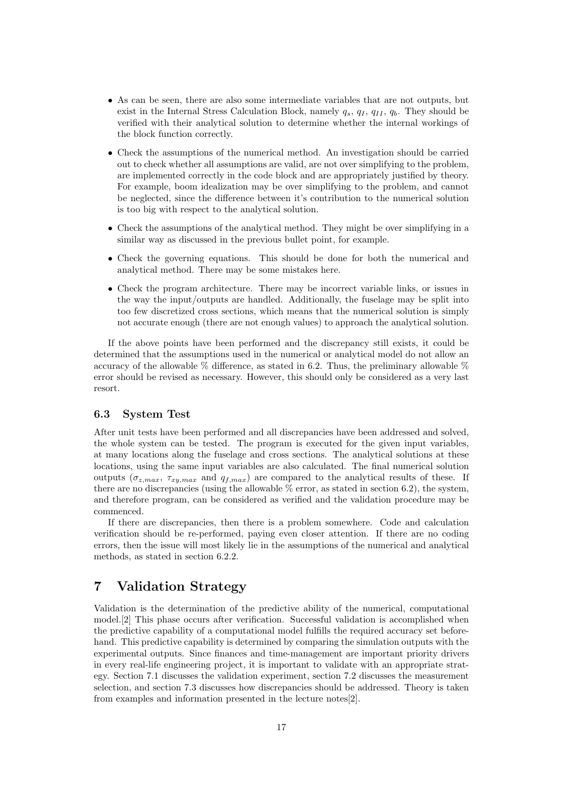- As can be seen, there are also some intermediate variables that are not outputs, but exist in the Internal Stress Calculation Block, namely  $q_s, q_I, q_{II}, q_b$ . They should be verified with their analytical solution to determine whether the internal workings of the block function correctly.
- Check the assumptions of the numerical method. An investigation should be carried out to check whether all assumptions are valid, are not over simplifying to the problem, are implemented correctly in the code block and are appropriately justified by theory. For example, boom idealization may be over simplifying to the problem, and cannot be neglected, since the difference between it's contribution to the numerical solution is too big with respect to the analytical solution.
- Check the assumptions of the analytical method. They might be over simplifying in a similar way as discussed in the previous bullet point, for example.
- Check the governing equations. This should be done for both the numerical and analytical method. There may be some mistakes here.
- Check the program architecture. There may be incorrect variable links, or issues in the way the input/outputs are handled. Additionally, the fuselage may be split into too few discretized cross sections, which means that the numerical solution is simply not accurate enough (there are not enough values) to approach the analytical solution.

If the above points have been performed and the discrepancy still exists, it could be determined that the assumptions used in the numerical or analytical model do not allow an accuracy of the allowable  $\%$  difference, as stated in 6.2. Thus, the preliminary allowable  $\%$ error should be revised as necessary. However, this should only be considered as a very last resort.

#### 6.3 System Test

After unit tests have been performed and all discrepancies have been addressed and solved, the whole system can be tested. The program is executed for the given input variables, at many locations along the fuselage and cross sections. The analytical solutions at these locations, using the same input variables are also calculated. The final numerical solution outputs  $(\sigma_{z,max}, \tau_{xy,max}$  and  $q_{f,max})$  are compared to the analytical results of these. If there are no discrepancies (using the allowable  $\%$  error, as stated in section 6.2), the system, and therefore program, can be considered as verified and the validation procedure may be commenced.

If there are discrepancies, then there is a problem somewhere. Code and calculation verification should be re-performed, paying even closer attention. If there are no coding errors, then the issue will most likely lie in the assumptions of the numerical and analytical methods, as stated in section 6.2.2.

# 7 Validation Strategy

Validation is the determination of the predictive ability of the numerical, computational model.[2] This phase occurs after verification. Successful validation is accomplished when the predictive capability of a computational model fulfills the required accuracy set beforehand. This predictive capability is determined by comparing the simulation outputs with the experimental outputs. Since finances and time-management are important priority drivers in every real-life engineering project, it is important to validate with an appropriate strategy. Section 7.1 discusses the validation experiment, section 7.2 discusses the measurement selection, and section 7.3 discusses how discrepancies should be addressed. Theory is taken from examples and information presented in the lecture notes[2].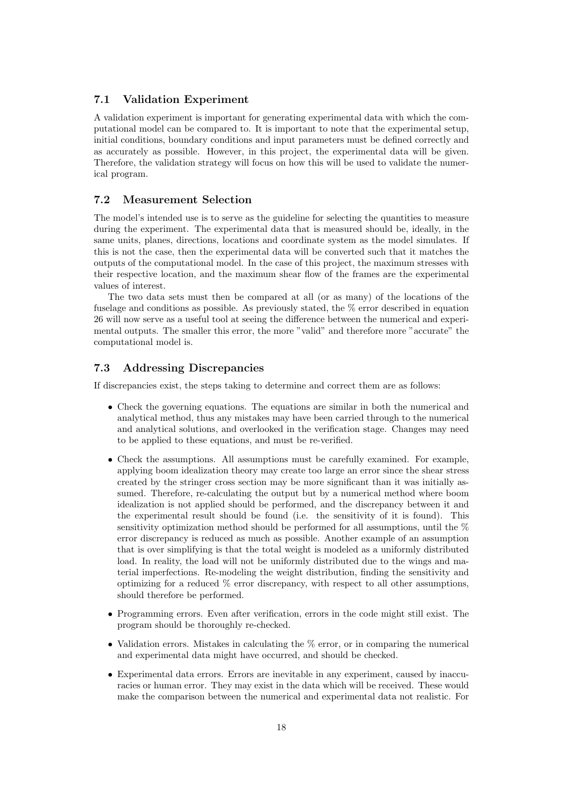### 7.1 Validation Experiment

A validation experiment is important for generating experimental data with which the computational model can be compared to. It is important to note that the experimental setup, initial conditions, boundary conditions and input parameters must be defined correctly and as accurately as possible. However, in this project, the experimental data will be given. Therefore, the validation strategy will focus on how this will be used to validate the numerical program.

#### 7.2 Measurement Selection

The model's intended use is to serve as the guideline for selecting the quantities to measure during the experiment. The experimental data that is measured should be, ideally, in the same units, planes, directions, locations and coordinate system as the model simulates. If this is not the case, then the experimental data will be converted such that it matches the outputs of the computational model. In the case of this project, the maximum stresses with their respective location, and the maximum shear flow of the frames are the experimental values of interest.

The two data sets must then be compared at all (or as many) of the locations of the fuselage and conditions as possible. As previously stated, the % error described in equation 26 will now serve as a useful tool at seeing the difference between the numerical and experimental outputs. The smaller this error, the more "valid" and therefore more "accurate" the computational model is.

### 7.3 Addressing Discrepancies

If discrepancies exist, the steps taking to determine and correct them are as follows:

- Check the governing equations. The equations are similar in both the numerical and analytical method, thus any mistakes may have been carried through to the numerical and analytical solutions, and overlooked in the verification stage. Changes may need to be applied to these equations, and must be re-verified.
- Check the assumptions. All assumptions must be carefully examined. For example, applying boom idealization theory may create too large an error since the shear stress created by the stringer cross section may be more significant than it was initially assumed. Therefore, re-calculating the output but by a numerical method where boom idealization is not applied should be performed, and the discrepancy between it and the experimental result should be found (i.e. the sensitivity of it is found). This sensitivity optimization method should be performed for all assumptions, until the % error discrepancy is reduced as much as possible. Another example of an assumption that is over simplifying is that the total weight is modeled as a uniformly distributed load. In reality, the load will not be uniformly distributed due to the wings and material imperfections. Re-modeling the weight distribution, finding the sensitivity and optimizing for a reduced % error discrepancy, with respect to all other assumptions, should therefore be performed.
- Programming errors. Even after verification, errors in the code might still exist. The program should be thoroughly re-checked.
- Validation errors. Mistakes in calculating the  $%$  error, or in comparing the numerical and experimental data might have occurred, and should be checked.
- Experimental data errors. Errors are inevitable in any experiment, caused by inaccuracies or human error. They may exist in the data which will be received. These would make the comparison between the numerical and experimental data not realistic. For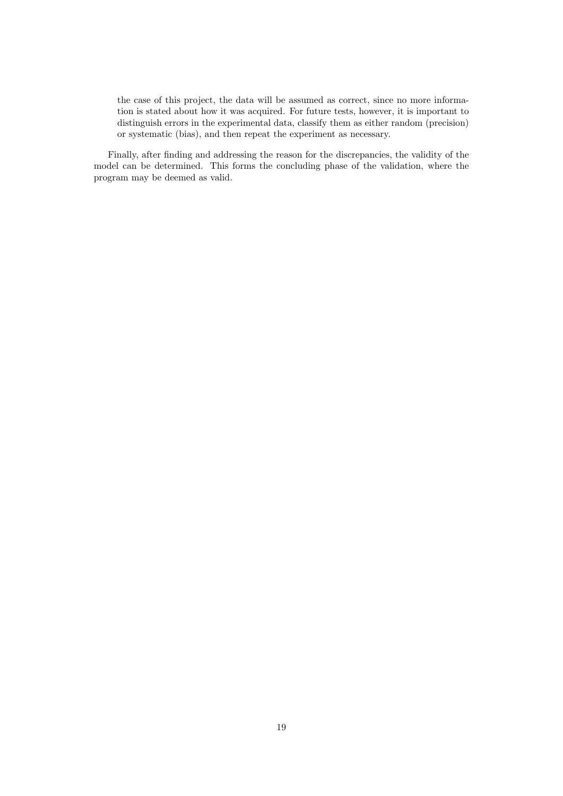the case of this project, the data will be assumed as correct, since no more information is stated about how it was acquired. For future tests, however, it is important to distinguish errors in the experimental data, classify them as either random (precision) or systematic (bias), and then repeat the experiment as necessary.

Finally, after finding and addressing the reason for the discrepancies, the validity of the model can be determined. This forms the concluding phase of the validation, where the program may be deemed as valid.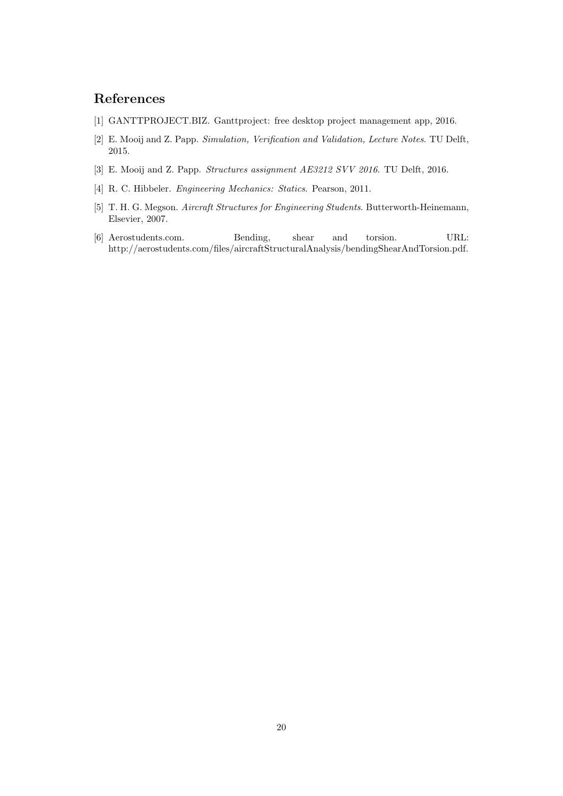# References

- [1] GANTTPROJECT.BIZ. Ganttproject: free desktop project management app, 2016.
- [2] E. Mooij and Z. Papp. Simulation, Verification and Validation, Lecture Notes. TU Delft, 2015.
- [3] E. Mooij and Z. Papp. Structures assignment AE3212 SVV 2016. TU Delft, 2016.
- [4] R. C. Hibbeler. Engineering Mechanics: Statics. Pearson, 2011.
- [5] T. H. G. Megson. Aircraft Structures for Engineering Students. Butterworth-Heinemann, Elsevier, 2007.
- [6] Aerostudents.com. Bending, shear and torsion. URL: http://aerostudents.com/files/aircraftStructuralAnalysis/bendingShearAndTorsion.pdf.